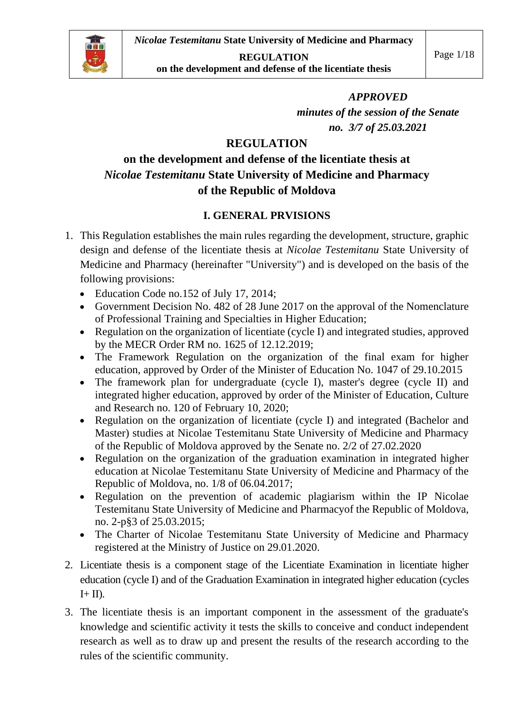

**REGULATION**

**on the development and defense of the licentiate thesis** 

#### *APPROVED*

*minutes of the session of the Senate no. 3/7 of 25.03.2021*

#### **REGULATION**

# **on the development and defense of the licentiate thesis at** *Nicolae Testemitanu* **State University of Medicine and Pharmacy of the Republic of Moldova**

#### **I. GENERAL PRVISIONS**

- 1. This Regulation establishes the main rules regarding the development, structure, graphic design and defense of the licentiate thesis at *Nicolae Testemitanu* State University of Medicine and Pharmacy (hereinafter "University") and is developed on the basis of the following provisions:
	- Education Code no.152 of July 17, 2014:
	- Government Decision No. 482 of 28 June 2017 on the approval of the Nomenclature of Professional Training and Specialties in Higher Education;
	- Regulation on the organization of licentiate (cycle I) and integrated studies, approved by the MECR Order RM no. 1625 of 12.12.2019;
	- The Framework Regulation on the organization of the final exam for higher education, approved by Order of the Minister of Education No. 1047 of 29.10.2015
	- The framework plan for undergraduate (cycle I), master's degree (cycle II) and integrated higher education, approved by order of the Minister of Education, Culture and Research no. 120 of February 10, 2020;
	- Regulation on the organization of licentiate (cycle I) and integrated (Bachelor and Master) studies at Nicolae Testemitanu State University of Medicine and Pharmacy of the Republic of Moldova approved by the Senate no. 2/2 of 27.02.2020
	- Regulation on the organization of the graduation examination in integrated higher education at Nicolae Testemitanu State University of Medicine and Pharmacy of the Republic of Moldova, no. 1/8 of 06.04.2017;
	- Regulation on the prevention of academic plagiarism within the IP Nicolae Testemitanu State University of Medicine and Pharmacyof the Republic of Moldova, no. 2-p§3 of 25.03.2015;
	- The Charter of Nicolae Testemitanu State University of Medicine and Pharmacy registered at the Ministry of Justice on 29.01.2020.
- 2. Licentiate thesis is a component stage of the Licentiate Examination in licentiate higher education (cycle I) and of the Graduation Examination in integrated higher education (cycles  $I+II$ ).
- 3. The licentiate thesis is an important component in the assessment of the graduate's knowledge and scientific activity it tests the skills to conceive and conduct independent research as well as to draw up and present the results of the research according to the rules of the scientific community.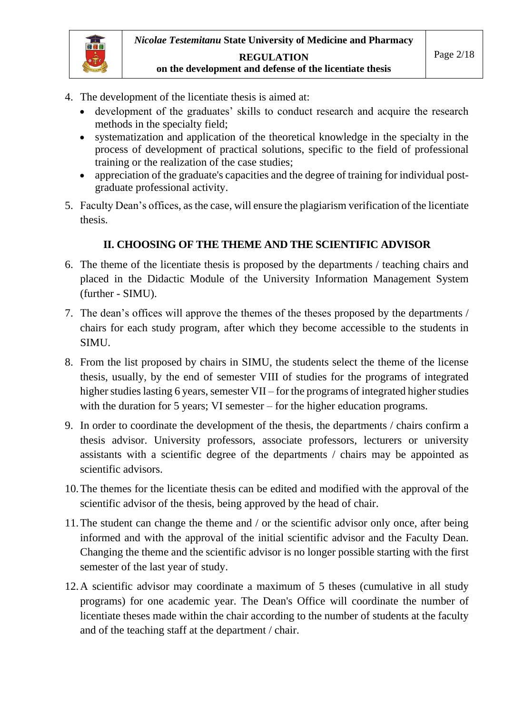

#### **REGULATION on the development and defense of the licentiate thesis**

- 4. The development of the licentiate thesis is aimed at:
	- development of the graduates' skills to conduct research and acquire the research methods in the specialty field;
	- systematization and application of the theoretical knowledge in the specialty in the process of development of practical solutions, specific to the field of professional training or the realization of the case studies;
	- appreciation of the graduate's capacities and the degree of training for individual postgraduate professional activity.
- 5. Faculty Dean's offices, as the case, will ensure the plagiarism verification of the licentiate thesis.

#### **II. CHOOSING OF THE THEME AND THE SCIENTIFIC ADVISOR**

- 6. The theme of the licentiate thesis is proposed by the departments / teaching chairs and placed in the Didactic Module of the University Information Management System (further - SIMU).
- 7. The dean's offices will approve the themes of the theses proposed by the departments / chairs for each study program, after which they become accessible to the students in SIMU.
- 8. From the list proposed by chairs in SIMU, the students select the theme of the license thesis, usually, by the end of semester VIII of studies for the programs of integrated higher studies lasting 6 years, semester VII – for the programs of integrated higher studies with the duration for 5 years; VI semester – for the higher education programs.
- 9. In order to coordinate the development of the thesis, the departments / chairs confirm a thesis advisor. University professors, associate professors, lecturers or university assistants with a scientific degree of the departments / chairs may be appointed as scientific advisors.
- 10.The themes for the licentiate thesis can be edited and modified with the approval of the scientific advisor of the thesis, being approved by the head of chair.
- 11.The student can change the theme and / or the scientific advisor only once, after being informed and with the approval of the initial scientific advisor and the Faculty Dean. Changing the theme and the scientific advisor is no longer possible starting with the first semester of the last year of study.
- 12.A scientific advisor may coordinate a maximum of 5 theses (cumulative in all study programs) for one academic year. The Dean's Office will coordinate the number of licentiate theses made within the chair according to the number of students at the faculty and of the teaching staff at the department / chair.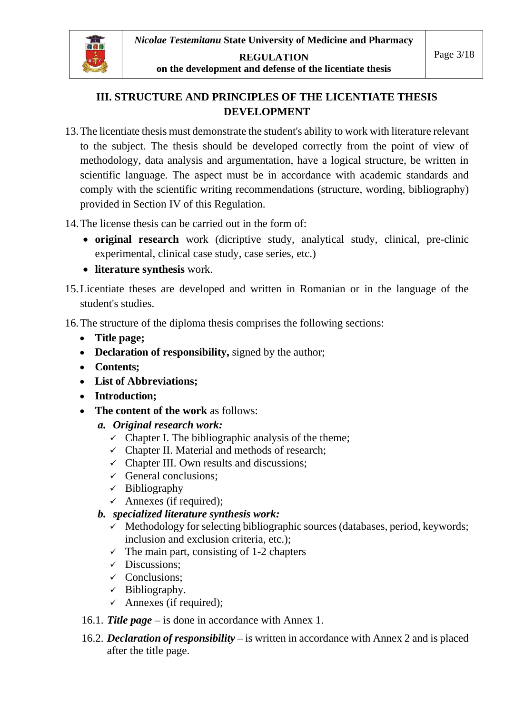

**REGULATION on the development and defense of the licentiate thesis** 

#### **III. STRUCTURE AND PRINCIPLES OF THE LICENTIATE THESIS DEVELOPMENT**

13.The licentiate thesis must demonstrate the student's ability to work with literature relevant to the subject. The thesis should be developed correctly from the point of view of methodology, data analysis and argumentation, have a logical structure, be written in scientific language. The aspect must be in accordance with academic standards and comply with the scientific writing recommendations (structure, wording, bibliography) provided in Section IV of this Regulation.

14.The license thesis can be carried out in the form of:

- **original research** work (dicriptive study, analytical study, clinical, pre-clinic experimental, clinical case study, case series, etc.)
- **literature synthesis** work.
- 15.Licentiate theses are developed and written in Romanian or in the language of the student's studies.

16.The structure of the diploma thesis comprises the following sections:

- **Title page;**
- **Declaration of responsibility,** signed by the author;
- **Contents;**
- **List of Abbreviations;**
- **Introduction;**
- **The content of the work** as follows:
	- *a. Original research work:*
		- $\checkmark$  Chapter I. The bibliographic analysis of the theme;
		- $\checkmark$  Chapter II. Material and methods of research;
		- $\checkmark$  Chapter III. Own results and discussions;
		- $\checkmark$  General conclusions;
		- $\checkmark$  Bibliography
		- $\checkmark$  Annexes (if required);
	- *b. specialized literature synthesis work:*
		- $\checkmark$  Methodology for selecting bibliographic sources (databases, period, keywords; inclusion and exclusion criteria, etc.);
		- $\checkmark$  The main part, consisting of 1-2 chapters
		- ✓ Discussions;
		- ✓ Conclusions;
		- $\checkmark$  Bibliography.
		- $\checkmark$  Annexes (if required);
- 16.1. *Title page –* is done in accordance with Annex 1.
- 16.2. *Declaration of responsibility –* is written in accordance with Annex 2 and is placed after the title page.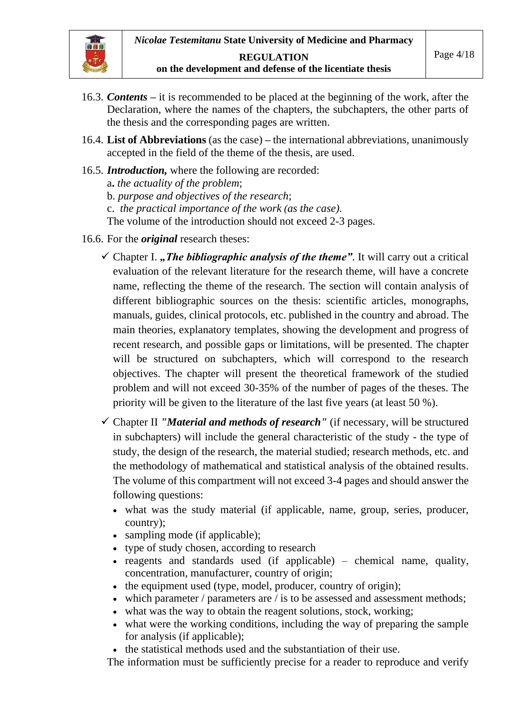# **on the development and defense of the licentiate thesis**

- 16.3. *Contents* **–** it is recommended to be placed at the beginning of the work, after the Declaration, where the names of the chapters, the subchapters, the other parts of the thesis and the corresponding pages are written.
- 16.4. **List of Abbreviations** (as the case) *–* the international abbreviations, unanimously accepted in the field of the theme of the thesis, are used.
- 16.5. *Introduction,* where the following are recorded: a**.** *the actuality of the problem*; b. *purpose and objectives of the research*; c. *the practical importance of the work (as the case).* The volume of the introduction should not exceed 2-3 pages.
- 16.6. For the *original* research theses:
	- $\checkmark$  Chapter I., *The bibliographic analysis of the theme*". It will carry out a critical evaluation of the relevant literature for the research theme, will have a concrete name, reflecting the theme of the research. The section will contain analysis of different bibliographic sources on the thesis: scientific articles, monographs, manuals, guides, clinical protocols, etc. published in the country and abroad. The main theories, explanatory templates, showing the development and progress of recent research, and possible gaps or limitations, will be presented. The chapter will be structured on subchapters, which will correspond to the research objectives. The chapter will present the theoretical framework of the studied problem and will not exceed 30-35% of the number of pages of the theses. The priority will be given to the literature of the last five years (at least 50 %).
	- ✓ Chapter II *"Material and methods of research"* (if necessary, will be structured in subchapters) will include the general characteristic of the study - the type of study, the design of the research, the material studied; research methods, etc. and the methodology of mathematical and statistical analysis of the obtained results. The volume of this compartment will not exceed 3-4 pages and should answer the following questions:
		- what was the study material (if applicable, name, group, series, producer, country);
		- sampling mode (if applicable):
		- type of study chosen, according to research
		- reagents and standards used (if applicable) chemical name, quality, concentration, manufacturer, country of origin;
		- the equipment used (type, model, producer, country of origin);
		- which parameter / parameters are / is to be assessed and assessment methods;
		- what was the way to obtain the reagent solutions, stock, working;
		- what were the working conditions, including the way of preparing the sample for analysis (if applicable);
		- the statistical methods used and the substantiation of their use.

The information must be sufficiently precise for a reader to reproduce and verify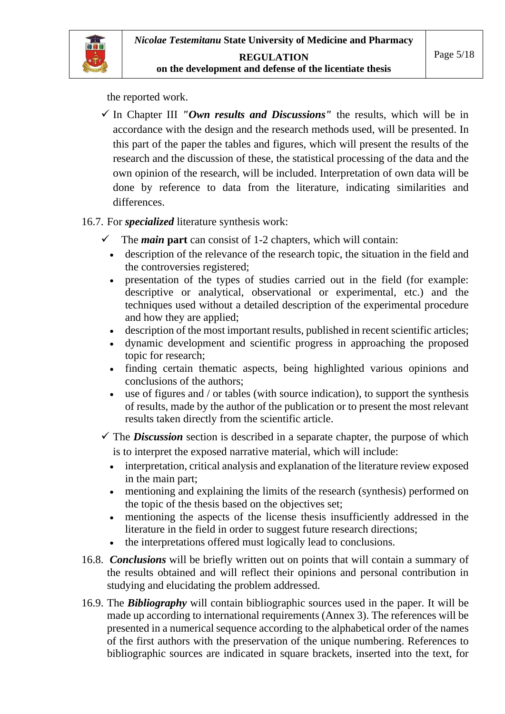

the reported work.

 $\checkmark$  In Chapter III *"Own results and Discussions"* the results, which will be in accordance with the design and the research methods used, will be presented. In this part of the paper the tables and figures, which will present the results of the research and the discussion of these, the statistical processing of the data and the own opinion of the research, will be included. Interpretation of own data will be done by reference to data from the literature, indicating similarities and differences.

#### 16.7. For *specialized* literature synthesis work:

- The *main* part can consist of 1-2 chapters, which will contain:
	- description of the relevance of the research topic, the situation in the field and the controversies registered;
- presentation of the types of studies carried out in the field (for example: descriptive or analytical, observational or experimental, etc.) and the techniques used without a detailed description of the experimental procedure and how they are applied;
- description of the most important results, published in recent scientific articles;
- dynamic development and scientific progress in approaching the proposed topic for research;
- finding certain thematic aspects, being highlighted various opinions and conclusions of the authors;
- use of figures and / or tables (with source indication), to support the synthesis of results, made by the author of the publication or to present the most relevant results taken directly from the scientific article.

 $\checkmark$  The *Discussion* section is described in a separate chapter, the purpose of which is to interpret the exposed narrative material, which will include:

- interpretation, critical analysis and explanation of the literature review exposed in the main part;
- mentioning and explaining the limits of the research (synthesis) performed on the topic of the thesis based on the objectives set;
- mentioning the aspects of the license thesis insufficiently addressed in the literature in the field in order to suggest future research directions;
- the interpretations offered must logically lead to conclusions.
- 16.8. *Conclusions* will be briefly written out on points that will contain a summary of the results obtained and will reflect their opinions and personal contribution in studying and elucidating the problem addressed.
- 16.9. The *Bibliography* will contain bibliographic sources used in the paper. It will be made up according to international requirements (Annex 3). The references will be presented in a numerical sequence according to the alphabetical order of the names of the first authors with the preservation of the unique numbering. References to bibliographic sources are indicated in square brackets, inserted into the text, for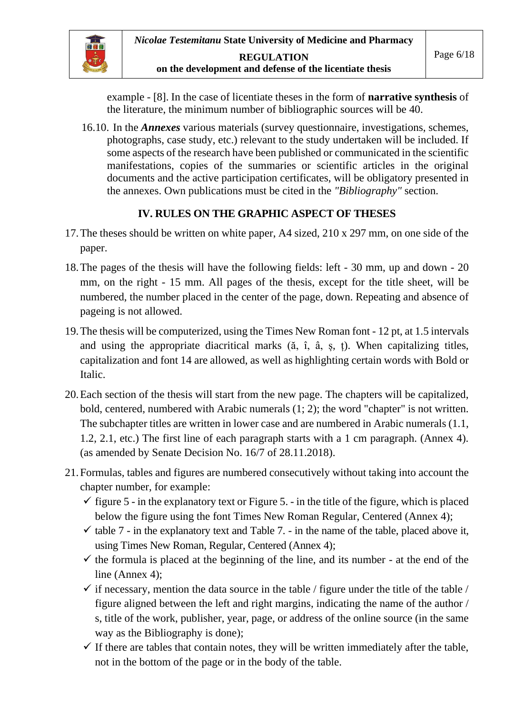

example - [8]. In the case of licentiate theses in the form of **narrative synthesis** of the literature, the minimum number of bibliographic sources will be 40.

16.10. In the *Annexes* various materials (survey questionnaire, investigations, schemes, photographs, case study, etc.) relevant to the study undertaken will be included. If some aspects of the research have been published or communicated in the scientific manifestations, copies of the summaries or scientific articles in the original documents and the active participation certificates, will be obligatory presented in the annexes. Own publications must be cited in the *"Bibliography"* section.

#### **IV. RULES ON THE GRAPHIC ASPECT OF THESES**

- 17.The theses should be written on white paper, A4 sized, 210 x 297 mm, on one side of the paper.
- 18.The pages of the thesis will have the following fields: left 30 mm, up and down 20 mm, on the right - 15 mm. All pages of the thesis, except for the title sheet, will be numbered, the number placed in the center of the page, down. Repeating and absence of pageing is not allowed.
- 19.The thesis will be computerized, using the Times New Roman font 12 pt, at 1.5 intervals and using the appropriate diacritical marks (ă, î, â, ș, ț). When capitalizing titles, capitalization and font 14 are allowed, as well as highlighting certain words with Bold or Italic.
- 20.Each section of the thesis will start from the new page. The chapters will be capitalized, bold, centered, numbered with Arabic numerals (1; 2); the word "chapter" is not written. The subchapter titles are written in lower case and are numbered in Arabic numerals (1.1, 1.2, 2.1, etc.) The first line of each paragraph starts with a 1 cm paragraph. (Annex 4). (as amended by Senate Decision No. 16/7 of 28.11.2018).
- 21.Formulas, tables and figures are numbered consecutively without taking into account the chapter number, for example:
	- $\checkmark$  figure 5 in the explanatory text or Figure 5. in the title of the figure, which is placed below the figure using the font Times New Roman Regular, Centered (Annex 4);
	- $\checkmark$  table 7 in the explanatory text and Table 7. in the name of the table, placed above it, using Times New Roman, Regular, Centered (Annex 4);
	- $\checkmark$  the formula is placed at the beginning of the line, and its number at the end of the line (Annex 4);
	- $\checkmark$  if necessary, mention the data source in the table / figure under the title of the table / figure aligned between the left and right margins, indicating the name of the author / s, title of the work, publisher, year, page, or address of the online source (in the same way as the Bibliography is done);
	- $\checkmark$  If there are tables that contain notes, they will be written immediately after the table, not in the bottom of the page or in the body of the table.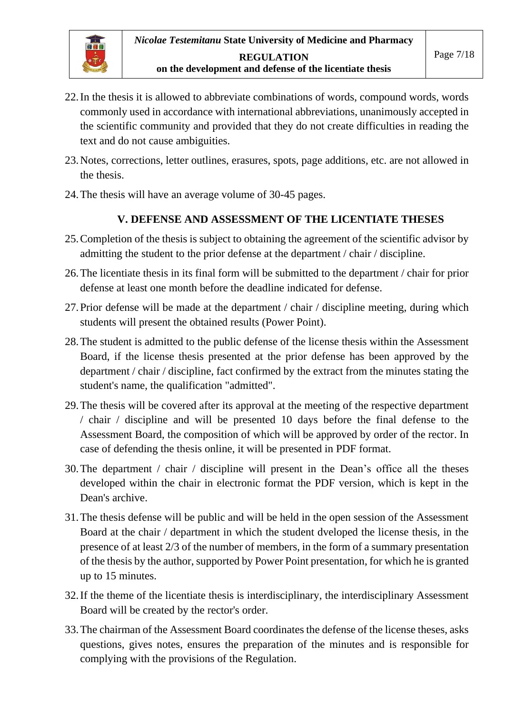- 22.In the thesis it is allowed to abbreviate combinations of words, compound words, words commonly used in accordance with international abbreviations, unanimously accepted in the scientific community and provided that they do not create difficulties in reading the text and do not cause ambiguities.
- 23.Notes, corrections, letter outlines, erasures, spots, page additions, etc. are not allowed in the thesis.
- 24.The thesis will have an average volume of 30-45 pages.

#### **V. DEFENSE AND ASSESSMENT OF THE LICENTIATE THESES**

- 25.Completion of the thesis is subject to obtaining the agreement of the scientific advisor by admitting the student to the prior defense at the department / chair / discipline.
- 26.The licentiate thesis in its final form will be submitted to the department / chair for prior defense at least one month before the deadline indicated for defense.
- 27.Prior defense will be made at the department / chair / discipline meeting, during which students will present the obtained results (Power Point).
- 28.The student is admitted to the public defense of the license thesis within the Assessment Board, if the license thesis presented at the prior defense has been approved by the department / chair / discipline, fact confirmed by the extract from the minutes stating the student's name, the qualification "admitted".
- 29.The thesis will be covered after its approval at the meeting of the respective department / chair / discipline and will be presented 10 days before the final defense to the Assessment Board, the composition of which will be approved by order of the rector. In case of defending the thesis online, it will be presented in PDF format.
- 30.The department / chair / discipline will present in the Dean's office all the theses developed within the chair in electronic format the PDF version, which is kept in the Dean's archive.
- 31.The thesis defense will be public and will be held in the open session of the Assessment Board at the chair / department in which the student dveloped the license thesis, in the presence of at least 2/3 of the number of members, in the form of a summary presentation of the thesis by the author, supported by Power Point presentation, for which he is granted up to 15 minutes.
- 32.If the theme of the licentiate thesis is interdisciplinary, the interdisciplinary Assessment Board will be created by the rector's order.
- 33.The chairman of the Assessment Board coordinates the defense of the license theses, asks questions, gives notes, ensures the preparation of the minutes and is responsible for complying with the provisions of the Regulation.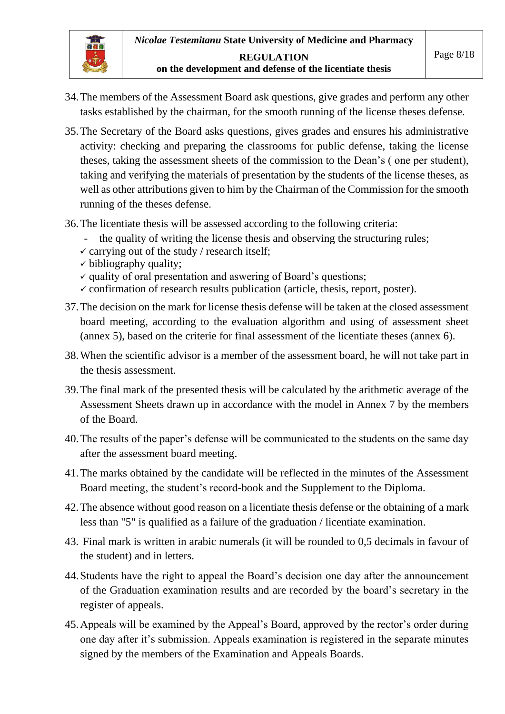

- 34.The members of the Assessment Board ask questions, give grades and perform any other tasks established by the chairman, for the smooth running of the license theses defense.
- 35.The Secretary of the Board asks questions, gives grades and ensures his administrative activity: checking and preparing the classrooms for public defense, taking the license theses, taking the assessment sheets of the commission to the Dean's ( one per student), taking and verifying the materials of presentation by the students of the license theses, as well as other attributions given to him by the Chairman of the Commission for the smooth running of the theses defense.
- 36.The licentiate thesis will be assessed according to the following criteria:
	- the quality of writing the license thesis and observing the structuring rules;
	- $\checkmark$  carrying out of the study / research itself;
	- $\checkmark$  bibliography quality;
	- ✓ quality of oral presentation and aswering of Board's questions;
	- $\checkmark$  confirmation of research results publication (article, thesis, report, poster).
- 37.The decision on the mark for license thesis defense will be taken at the closed assessment board meeting, according to the evaluation algorithm and using of assessment sheet (annex 5), based on the criterie for final assessment of the licentiate theses (annex 6).
- 38.When the scientific advisor is a member of the assessment board, he will not take part in the thesis assessment.
- 39.The final mark of the presented thesis will be calculated by the arithmetic average of the Assessment Sheets drawn up in accordance with the model in Annex 7 by the members of the Board.
- 40.The results of the paper's defense will be communicated to the students on the same day after the assessment board meeting.
- 41.The marks obtained by the candidate will be reflected in the minutes of the Assessment Board meeting, the student's record-book and the Supplement to the Diploma.
- 42.The absence without good reason on a licentiate thesis defense or the obtaining of a mark less than "5" is qualified as a failure of the graduation / licentiate examination.
- 43. Final mark is written in arabic numerals (it will be rounded to 0,5 decimals in favour of the student) and in letters.
- 44.Students have the right to appeal the Board's decision one day after the announcement of the Graduation examination results and are recorded by the board's secretary in the register of appeals.
- 45.Appeals will be examined by the Appeal's Board, approved by the rector's order during one day after it's submission. Appeals examination is registered in the separate minutes signed by the members of the Examination and Appeals Boards.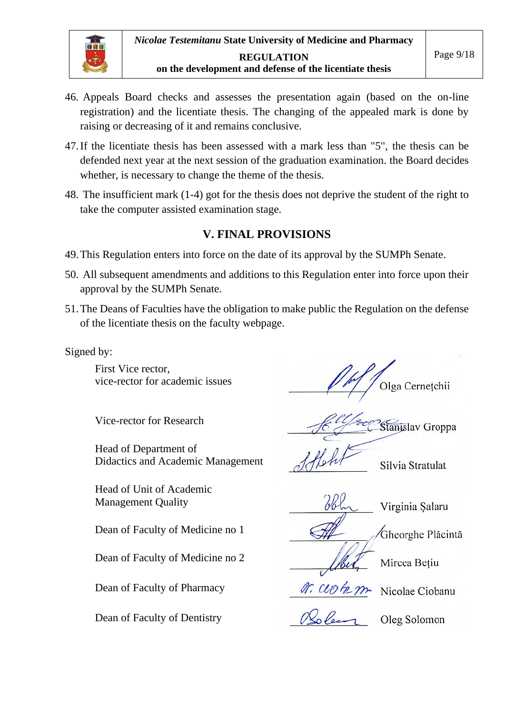

- 46. Appeals Board checks and assesses the presentation again (based on the on-line registration) and the licentiate thesis. The changing of the appealed mark is done by raising or decreasing of it and remains conclusive.
- 47.If the licentiate thesis has been assessed with a mark less than "5", the thesis can be defended next year at the next session of the graduation examination. the Board decides whether, is necessary to change the theme of the thesis.
- 48. The insufficient mark (1-4) got for the thesis does not deprive the student of the right to take the computer assisted examination stage.

#### **V. FINAL PROVISIONS**

- 49.This Regulation enters into force on the date of its approval by the SUMPh Senate.
- 50. All subsequent amendments and additions to this Regulation enter into force upon their approval by the SUMPh Senate.
- 51.The Deans of Faculties have the obligation to make public the Regulation on the defense of the licentiate thesis on the faculty webpage.

Signed by:

First Vice rector,

Head of Department of Didactics and Academic Management Silvia Stratulat

Head of Unit of Academic Management Quality and the United States of the Virginia Salaru

Dean of Faculty of Medicine no 1 <br>
<del>Allennes Medicine</del> no 1 <br>
Gheorghe Placinta

Dean of Faculty of Medicine no 2  $\int_{\mathcal{R}} \int_{\mathcal{R}}$  Mircea Betiu

Dean of Faculty of Pharmacy  $\mathscr{M}$ . CLO began Nicolae Ciobanu

Dean of Faculty of Dentistry  $\bigotimes_{\mathcal{O}} \bigotimes_{\mathcal{O}} \bigotimes_{\mathcal{O}} \bigotimes_{\mathcal{O}}$  Oleg Solomon

vice-rector for academic issues  $\sqrt{\frac{M}{\sqrt{Q}}}$  Olga Cernetchii

Vice-rector for Research  $\frac{f}{f}$  Stanislav Groppa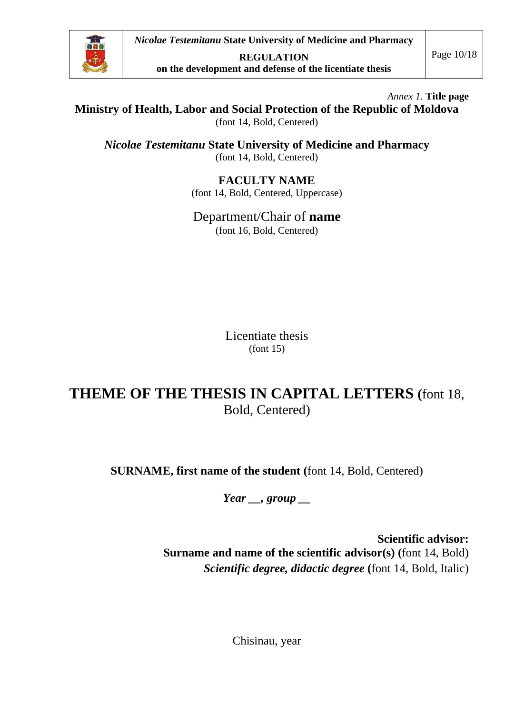

*Nicolae Testemitanu* **State University of Medicine and Pharmacy**

**REGULATION on the development and defense of the licentiate thesis** 

*Annex 1.* **Title page**

# **Ministry of Health, Labor and Social Protection of the Republic of Moldova**

(font 14, Bold, Centered)

*Nicolae Testemitanu* **State University of Medicine and Pharmacy**  (font 14, Bold, Centered)

#### **FACULTY NAME**

(font 14, Bold, Centered, Uppercase)

#### Department/Chair of **name**

(font 16, Bold, Centered)

Licentiate thesis (font 15)

# **THEME OF THE THESIS IN CAPITAL LETTERS (**font 18, Bold, Centered)

**SURNAME, first name of the student (**font 14, Bold, Centered)

*Year \_\_, group \_\_*

**Scientific advisor: Surname and name of the scientific advisor(s) (**font 14, Bold) *Scientific degree, didactic degree* **(**font 14, Bold, Italic)

Chisinau, year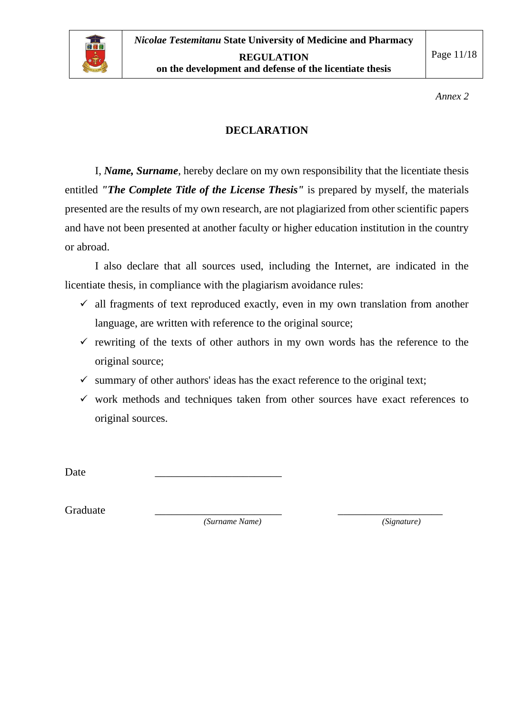

*Annex 2*

#### **DECLARATION**

I, *Name, Surname*, hereby declare on my own responsibility that the licentiate thesis entitled *"The Complete Title of the License Thesis"* is prepared by myself, the materials presented are the results of my own research, are not plagiarized from other scientific papers and have not been presented at another faculty or higher education institution in the country or abroad.

I also declare that all sources used, including the Internet, are indicated in the licentiate thesis, in compliance with the plagiarism avoidance rules:

- $\checkmark$  all fragments of text reproduced exactly, even in my own translation from another language, are written with reference to the original source;
- $\checkmark$  rewriting of the texts of other authors in my own words has the reference to the original source;
- $\checkmark$  summary of other authors' ideas has the exact reference to the original text;
- $\checkmark$  work methods and techniques taken from other sources have exact references to original sources.

Date \_\_\_\_\_\_\_\_\_\_\_\_\_\_\_\_\_\_\_\_\_\_\_

Graduate \_\_\_\_\_\_\_\_\_\_\_\_\_\_\_\_\_\_\_\_\_\_\_ \_\_\_\_\_\_\_\_\_\_\_\_\_\_\_\_\_\_\_

*(Surname Name) (Signature)*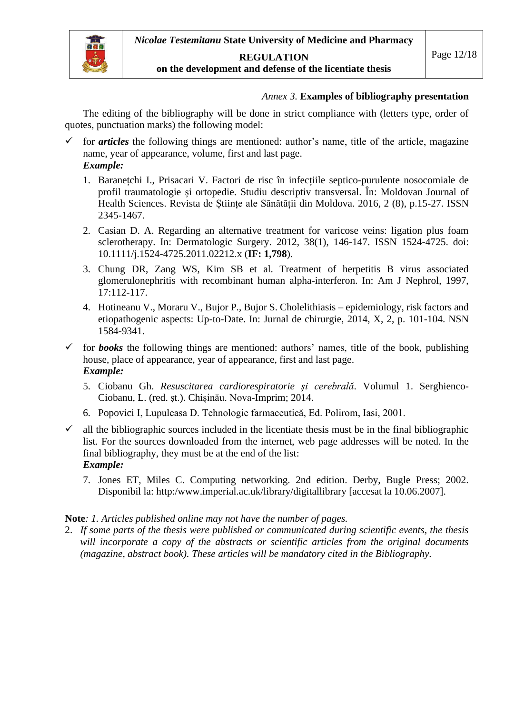

#### **REGULATION**

#### **on the development and defense of the licentiate thesis**

#### *Annex 3.* **Examples of bibliography presentation**

The editing of the bibliography will be done in strict compliance with (letters type, order of quotes, punctuation marks) the following model:

- $\checkmark$  for *articles* the following things are mentioned: author's name, title of the article, magazine name, year of appearance, volume, first and last page. *Example:*
	- 1. Baranețchi I., Prisacari V. Factori de risc în infecțiile septico-purulente nosocomiale de profil traumatologie și ortopedie. Studiu descriptiv transversal. În: Moldovan Journal of Health Sciences. Revista de Științe ale Sănătății din Moldova. 2016, 2 (8), p.15-27. ISSN 2345-1467.
	- 2. Casian D. A. Regarding an alternative treatment for varicose veins: ligation plus foam sclerotherapy. In: Dermatologic Surgery. 2012, 38(1), 146-147. ISSN 1524-4725. doi: 10.1111/j.1524-4725.2011.02212.x (**IF: 1,798**).
	- 3. Chung DR, Zang WS, Kim SB et al. Treatment of herpetitis B virus associated glomerulonephritis with recombinant human alpha-interferon. In: Am J Nephrol, 1997, 17:112-117.
	- 4. Hotineanu V., Moraru V., Bujor P., Bujor S. Cholelithiasis epidemiology, risk factors and etiopathogenic aspects: Up-to-Date. In: Jurnal de chirurgie, 2014, X, 2, p. 101-104. NSN 1584-9341.
- $\checkmark$  for **books** the following things are mentioned: authors' names, title of the book, publishing house, place of appearance, year of appearance, first and last page. *Example:*
	- 5. Ciobanu Gh. *Resuscitarea cardiorespiratorie și cerebrală*. Volumul 1. Serghienco-Ciobanu, L. (red. șt.). Chișinău. Nova-Imprim; 2014.
	- 6. Popovici I, Lupuleasa D. Tehnologie farmaceutică, Ed. Polirom, Iasi, 2001.
- $\checkmark$  all the bibliographic sources included in the licentiate thesis must be in the final bibliographic list. For the sources downloaded from the internet, web page addresses will be noted. In the final bibliography, they must be at the end of the list: *Example:*
	- 7. Jones ET, Miles C. Computing networking. 2nd edition. Derby, Bugle Press; 2002. Disponibil la: http:/www.imperial.ac.uk/library/digitallibrary [accesat la 10.06.2007].

#### **Note***: 1. Articles published online may not have the number of pages.*

2. *If some parts of the thesis were published or communicated during scientific events, the thesis will incorporate a copy of the abstracts or scientific articles from the original documents (magazine, abstract book). These articles will be mandatory cited in the Bibliography.*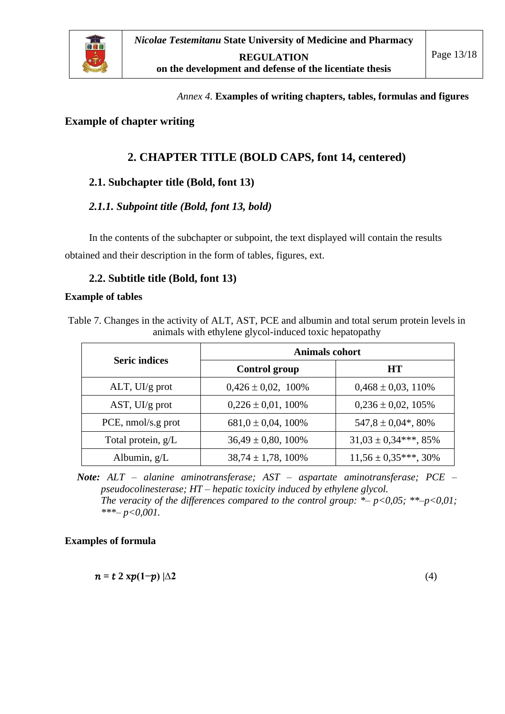

*Annex 4.* **Examples of writing chapters, tables, formulas and figures**

#### **Example of chapter writing**

### **2. CHAPTER TITLE (BOLD CAPS, font 14, centered)**

#### **2.1. Subchapter title (Bold, font 13)**

#### *2.1.1. Subpoint title (Bold, font 13, bold)*

In the contents of the subchapter or subpoint, the text displayed will contain the results obtained and their description in the form of tables, figures, ext.

#### **2.2. Subtitle title (Bold, font 13)**

#### **Example of tables**

Table 7. Changes in the activity of ALT, AST, PCE and albumin and total serum protein levels in animals with ethylene glycol-induced toxic hepatopathy

|                      | <b>Animals cohort</b>   |                                     |  |  |  |  |  |
|----------------------|-------------------------|-------------------------------------|--|--|--|--|--|
| <b>Seric indices</b> | <b>Control group</b>    | <b>HT</b>                           |  |  |  |  |  |
| $ALT$ , UI/g prot    | $0,426 \pm 0,02, 100\%$ | $0,468 \pm 0,03, 110\%$             |  |  |  |  |  |
| $AST, UI/g$ prot     | $0,226 \pm 0,01,100\%$  | $0,236 \pm 0,02,105\%$              |  |  |  |  |  |
| PCE, nmol/s.g prot   | $681,0 \pm 0,04,100\%$  | $547,8 \pm 0.04$ <sup>*</sup> , 80% |  |  |  |  |  |
| Total protein, g/L   | $36,49 \pm 0,80,100\%$  | $31,03 \pm 0,34***$ , 85%           |  |  |  |  |  |
| Albumin, $g/L$       | $38,74 \pm 1,78,100\%$  | $11,56 \pm 0,35***$ , 30%           |  |  |  |  |  |

*Note: ALT – alanine aminotransferase; AST – aspartate aminotransferase; PCE – pseudocolinesterase; HT – hepatic toxicity induced by ethylene glycol. The veracity of the differences compared to the control group: \*– p<0,05; \*\*–p<0,01; \*\*\*– p<0,001.*

#### **Examples of formula**

$$
n = t \ 2 \ xp(1-p) \ | \Delta 2 \tag{4}
$$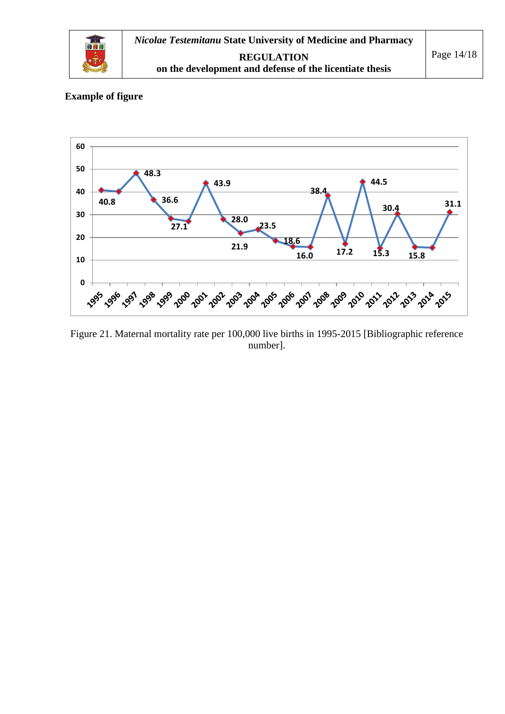

#### **Example of figure**



Figure 21. Maternal mortality rate per 100,000 live births in 1995-2015 [Bibliographic reference number].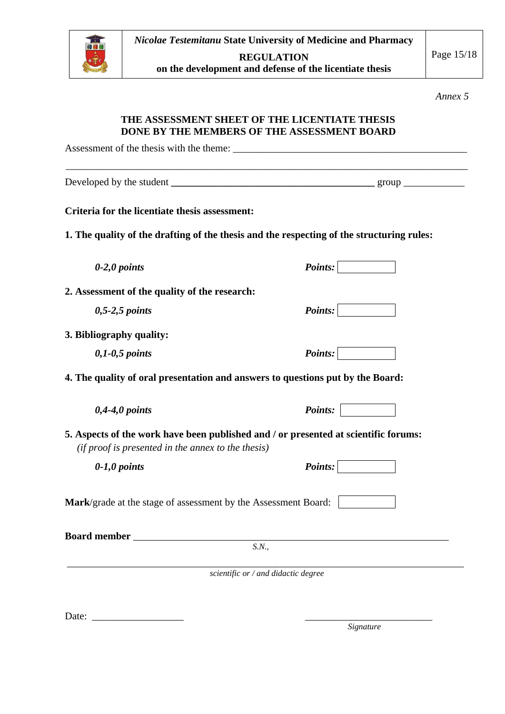

**on the development and defense of the licentiate thesis** 

*Annex 5*

#### **THE ASSESSMENT SHEET OF THE LICENTIATE THESIS DONE BY THE MEMBERS OF THE ASSESSMENT BOARD**

| Criteria for the licentiate thesis assessment:                 |                                                                                           |
|----------------------------------------------------------------|-------------------------------------------------------------------------------------------|
|                                                                | 1. The quality of the drafting of the thesis and the respecting of the structuring rules: |
| $0-2,0$ points                                                 | Points:                                                                                   |
| 2. Assessment of the quality of the research:                  |                                                                                           |
| $0, 5-2, 5$ points                                             | <i>Points:</i>                                                                            |
| 3. Bibliography quality:                                       |                                                                                           |
| $0,1-0,5$ points                                               | <i>Points:</i>                                                                            |
|                                                                | 4. The quality of oral presentation and answers to questions put by the Board:            |
| $0,4-4,0$ points                                               | <i>Points:</i>                                                                            |
| (if proof is presented in the annex to the thesis)             | 5. Aspects of the work have been published and / or presented at scientific forums:       |
| $0-1,0$ points                                                 | Points:                                                                                   |
| Mark/grade at the stage of assessment by the Assessment Board: |                                                                                           |
| <b>Board member</b>                                            |                                                                                           |
|                                                                | S.N.,                                                                                     |
|                                                                | scientific or / and didactic degree                                                       |

 *Signature*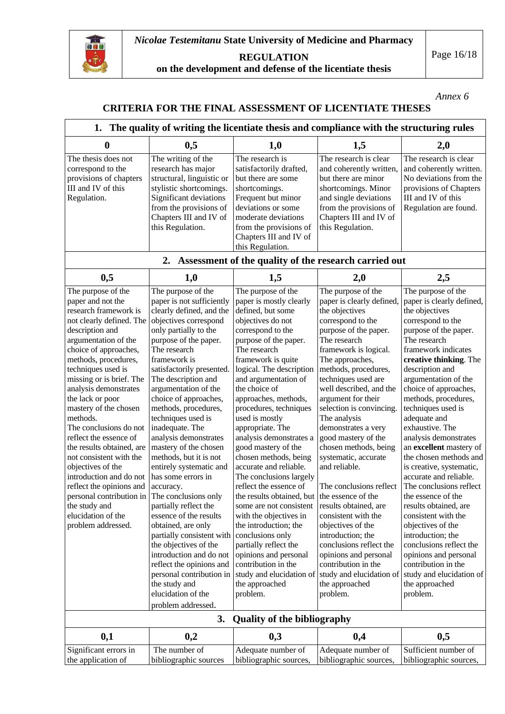

**REGULATION**

**on the development and defense of the licentiate thesis** 

*Annex 6*

#### **CRITERIA FOR THE FINAL ASSESSMENT OF LICENTIATE THESES**

| 1. The quality of writing the licentiate thesis and compliance with the structuring rules                                                                                                                                                                                                                                                                                                                                                                                                                                                                                                                     |                                                                                                                                                                                                                                                                                                                                                                                                                                                                                                                                                                                                                                                                                                                                                                                                               |                                                                                                                                                                                                                                                                                                                                                                                                                                                                                                                                                                                                                                                                                                                                                                                         |                                                                                                                                                                                                                                                                                                                                                                                                                                                                                                                                                                                                                                                                                                   |                                                                                                                                                                                                                                                                                                                                                                                                                                                                                                                                                                                                                                                                                                                                                           |  |  |  |  |  |  |
|---------------------------------------------------------------------------------------------------------------------------------------------------------------------------------------------------------------------------------------------------------------------------------------------------------------------------------------------------------------------------------------------------------------------------------------------------------------------------------------------------------------------------------------------------------------------------------------------------------------|---------------------------------------------------------------------------------------------------------------------------------------------------------------------------------------------------------------------------------------------------------------------------------------------------------------------------------------------------------------------------------------------------------------------------------------------------------------------------------------------------------------------------------------------------------------------------------------------------------------------------------------------------------------------------------------------------------------------------------------------------------------------------------------------------------------|-----------------------------------------------------------------------------------------------------------------------------------------------------------------------------------------------------------------------------------------------------------------------------------------------------------------------------------------------------------------------------------------------------------------------------------------------------------------------------------------------------------------------------------------------------------------------------------------------------------------------------------------------------------------------------------------------------------------------------------------------------------------------------------------|---------------------------------------------------------------------------------------------------------------------------------------------------------------------------------------------------------------------------------------------------------------------------------------------------------------------------------------------------------------------------------------------------------------------------------------------------------------------------------------------------------------------------------------------------------------------------------------------------------------------------------------------------------------------------------------------------|-----------------------------------------------------------------------------------------------------------------------------------------------------------------------------------------------------------------------------------------------------------------------------------------------------------------------------------------------------------------------------------------------------------------------------------------------------------------------------------------------------------------------------------------------------------------------------------------------------------------------------------------------------------------------------------------------------------------------------------------------------------|--|--|--|--|--|--|
| 0                                                                                                                                                                                                                                                                                                                                                                                                                                                                                                                                                                                                             | 0,5                                                                                                                                                                                                                                                                                                                                                                                                                                                                                                                                                                                                                                                                                                                                                                                                           | 1,0                                                                                                                                                                                                                                                                                                                                                                                                                                                                                                                                                                                                                                                                                                                                                                                     | 1,5                                                                                                                                                                                                                                                                                                                                                                                                                                                                                                                                                                                                                                                                                               | 2,0                                                                                                                                                                                                                                                                                                                                                                                                                                                                                                                                                                                                                                                                                                                                                       |  |  |  |  |  |  |
| The thesis does not<br>correspond to the<br>provisions of chapters<br>III and IV of this<br>Regulation.                                                                                                                                                                                                                                                                                                                                                                                                                                                                                                       | The writing of the<br>research has major<br>structural, linguistic or<br>stylistic shortcomings.<br>Significant deviations<br>from the provisions of<br>Chapters III and IV of<br>this Regulation.                                                                                                                                                                                                                                                                                                                                                                                                                                                                                                                                                                                                            | The research is<br>satisfactorily drafted,<br>but there are some<br>shortcomings.<br>Frequent but minor<br>deviations or some<br>moderate deviations<br>from the provisions of<br>Chapters III and IV of<br>this Regulation.                                                                                                                                                                                                                                                                                                                                                                                                                                                                                                                                                            | The research is clear<br>and coherently written,<br>but there are minor<br>shortcomings. Minor<br>and single deviations<br>from the provisions of<br>Chapters III and IV of<br>this Regulation.                                                                                                                                                                                                                                                                                                                                                                                                                                                                                                   | The research is clear<br>and coherently written.<br>No deviations from the<br>provisions of Chapters<br>III and IV of this<br>Regulation are found.                                                                                                                                                                                                                                                                                                                                                                                                                                                                                                                                                                                                       |  |  |  |  |  |  |
|                                                                                                                                                                                                                                                                                                                                                                                                                                                                                                                                                                                                               | 2.<br>Assessment of the quality of the research carried out                                                                                                                                                                                                                                                                                                                                                                                                                                                                                                                                                                                                                                                                                                                                                   |                                                                                                                                                                                                                                                                                                                                                                                                                                                                                                                                                                                                                                                                                                                                                                                         |                                                                                                                                                                                                                                                                                                                                                                                                                                                                                                                                                                                                                                                                                                   |                                                                                                                                                                                                                                                                                                                                                                                                                                                                                                                                                                                                                                                                                                                                                           |  |  |  |  |  |  |
| 0,5                                                                                                                                                                                                                                                                                                                                                                                                                                                                                                                                                                                                           | 1,0                                                                                                                                                                                                                                                                                                                                                                                                                                                                                                                                                                                                                                                                                                                                                                                                           | 1,5                                                                                                                                                                                                                                                                                                                                                                                                                                                                                                                                                                                                                                                                                                                                                                                     | 2,0                                                                                                                                                                                                                                                                                                                                                                                                                                                                                                                                                                                                                                                                                               | 2,5                                                                                                                                                                                                                                                                                                                                                                                                                                                                                                                                                                                                                                                                                                                                                       |  |  |  |  |  |  |
| The purpose of the<br>paper and not the<br>research framework is<br>not clearly defined. The<br>description and<br>argumentation of the<br>choice of approaches,<br>methods, procedures,<br>techniques used is<br>missing or is brief. The<br>analysis demonstrates<br>the lack or poor<br>mastery of the chosen<br>methods.<br>The conclusions do not<br>reflect the essence of<br>the results obtained, are<br>not consistent with the<br>objectives of the<br>introduction and do not<br>reflect the opinions and<br>personal contribution in<br>the study and<br>elucidation of the<br>problem addressed. | The purpose of the<br>paper is not sufficiently<br>clearly defined, and the<br>objectives correspond<br>only partially to the<br>purpose of the paper.<br>The research<br>framework is<br>satisfactorily presented.<br>The description and<br>argumentation of the<br>choice of approaches,<br>methods, procedures,<br>techniques used is<br>inadequate. The<br>analysis demonstrates<br>mastery of the chosen<br>methods, but it is not<br>entirely systematic and<br>has some errors in<br>accuracy.<br>The conclusions only<br>partially reflect the<br>essence of the results<br>obtained, are only<br>partially consistent with<br>the objectives of the<br>introduction and do not<br>reflect the opinions and<br>personal contribution in<br>the study and<br>elucidation of the<br>problem addressed. | The purpose of the<br>paper is mostly clearly<br>defined, but some<br>objectives do not<br>correspond to the<br>purpose of the paper.<br>The research<br>framework is quite<br>logical. The description<br>and argumentation of<br>the choice of<br>approaches, methods,<br>procedures, techniques<br>used is mostly<br>appropriate. The<br>analysis demonstrates a<br>good mastery of the<br>chosen methods, being<br>accurate and reliable.<br>The conclusions largely<br>reflect the essence of<br>the results obtained, but the essence of the<br>some are not consistent<br>with the objectives in<br>the introduction; the<br>conclusions only<br>partially reflect the<br>opinions and personal<br>contribution in the<br>study and elucidation of<br>the approached<br>problem. | The purpose of the<br>paper is clearly defined,<br>the objectives<br>correspond to the<br>purpose of the paper.<br>The research<br>framework is logical.<br>The approaches,<br>methods, procedures,<br>techniques used are<br>well described, and the<br>argument for their<br>selection is convincing.<br>The analysis<br>demonstrates a very<br>good mastery of the<br>chosen methods, being<br>systematic, accurate<br>and reliable.<br>The conclusions reflect<br>results obtained, are<br>consistent with the<br>objectives of the<br>introduction; the<br>conclusions reflect the<br>opinions and personal<br>contribution in the<br>study and elucidation of<br>the approached<br>problem. | The purpose of the<br>paper is clearly defined,<br>the objectives<br>correspond to the<br>purpose of the paper.<br>The research<br>framework indicates<br>creative thinking. The<br>description and<br>argumentation of the<br>choice of approaches,<br>methods, procedures,<br>techniques used is<br>adequate and<br>exhaustive. The<br>analysis demonstrates<br>an excellent mastery of<br>the chosen methods and<br>is creative, systematic,<br>accurate and reliable.<br>The conclusions reflect<br>the essence of the<br>results obtained, are<br>consistent with the<br>objectives of the<br>introduction; the<br>conclusions reflect the<br>opinions and personal<br>contribution in the<br>study and elucidation of<br>the approached<br>problem. |  |  |  |  |  |  |
|                                                                                                                                                                                                                                                                                                                                                                                                                                                                                                                                                                                                               | 3.                                                                                                                                                                                                                                                                                                                                                                                                                                                                                                                                                                                                                                                                                                                                                                                                            | <b>Quality of the bibliography</b>                                                                                                                                                                                                                                                                                                                                                                                                                                                                                                                                                                                                                                                                                                                                                      |                                                                                                                                                                                                                                                                                                                                                                                                                                                                                                                                                                                                                                                                                                   |                                                                                                                                                                                                                                                                                                                                                                                                                                                                                                                                                                                                                                                                                                                                                           |  |  |  |  |  |  |
| 0,1                                                                                                                                                                                                                                                                                                                                                                                                                                                                                                                                                                                                           | 0,2                                                                                                                                                                                                                                                                                                                                                                                                                                                                                                                                                                                                                                                                                                                                                                                                           | 0,3                                                                                                                                                                                                                                                                                                                                                                                                                                                                                                                                                                                                                                                                                                                                                                                     | 0,4                                                                                                                                                                                                                                                                                                                                                                                                                                                                                                                                                                                                                                                                                               | 0,5                                                                                                                                                                                                                                                                                                                                                                                                                                                                                                                                                                                                                                                                                                                                                       |  |  |  |  |  |  |
| Significant errors in<br>the application of                                                                                                                                                                                                                                                                                                                                                                                                                                                                                                                                                                   | The number of<br>bibliographic sources                                                                                                                                                                                                                                                                                                                                                                                                                                                                                                                                                                                                                                                                                                                                                                        | Adequate number of<br>bibliographic sources,                                                                                                                                                                                                                                                                                                                                                                                                                                                                                                                                                                                                                                                                                                                                            | Adequate number of<br>bibliographic sources,                                                                                                                                                                                                                                                                                                                                                                                                                                                                                                                                                                                                                                                      | Sufficient number of<br>bibliographic sources,                                                                                                                                                                                                                                                                                                                                                                                                                                                                                                                                                                                                                                                                                                            |  |  |  |  |  |  |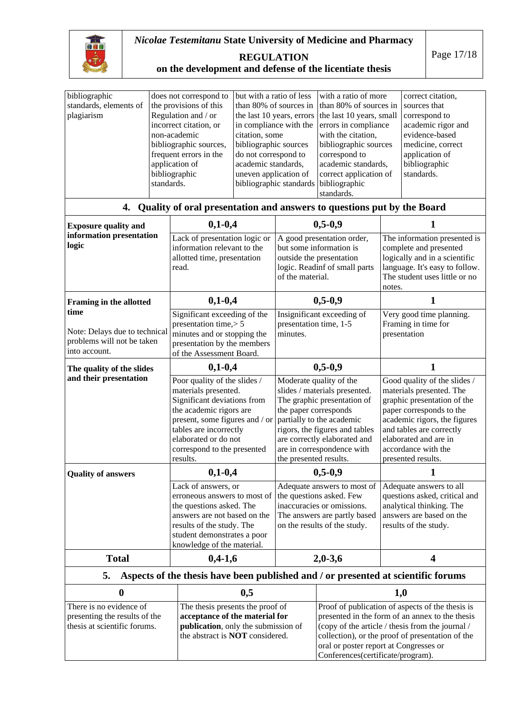

#### *Nicolae Testemitanu* **State University of Medicine and Pharmacy**

Page 17/18

**REGULATION on the development and defense of the licentiate thesis** 

| bibliographic<br>standards, elements of<br>plagiarism                                    | does not correspond to<br>the provisions of this<br>Regulation and / or<br>incorrect citation, or<br>non-academic<br>bibliographic sources,<br>frequent errors in the<br>application of<br>bibliographic<br>standards. |                                                                                                                                                                                                                                               | but with a ratio of less<br>than 80% of sources in<br>the last 10 years, errors<br>in compliance with the<br>citation, some<br>bibliographic sources<br>do not correspond to<br>academic standards,<br>uneven application of<br>bibliographic standards bibliographic |                                                                                                                                                       | with a ratio of more<br>than 80% of sources in<br>the last 10 years, small<br>errors in compliance<br>with the citation,<br>bibliographic sources<br>correspond to<br>academic standards,<br>correct application of<br>standards.                                                          |                                                                                                                                                                                                                                                       | correct citation,<br>sources that<br>correspond to<br>academic rigor and<br>evidence-based<br>medicine, correct<br>application of<br>bibliographic<br>standards. |  |  |
|------------------------------------------------------------------------------------------|------------------------------------------------------------------------------------------------------------------------------------------------------------------------------------------------------------------------|-----------------------------------------------------------------------------------------------------------------------------------------------------------------------------------------------------------------------------------------------|-----------------------------------------------------------------------------------------------------------------------------------------------------------------------------------------------------------------------------------------------------------------------|-------------------------------------------------------------------------------------------------------------------------------------------------------|--------------------------------------------------------------------------------------------------------------------------------------------------------------------------------------------------------------------------------------------------------------------------------------------|-------------------------------------------------------------------------------------------------------------------------------------------------------------------------------------------------------------------------------------------------------|------------------------------------------------------------------------------------------------------------------------------------------------------------------|--|--|
| Quality of oral presentation and answers to questions put by the Board<br>4.             |                                                                                                                                                                                                                        |                                                                                                                                                                                                                                               |                                                                                                                                                                                                                                                                       |                                                                                                                                                       |                                                                                                                                                                                                                                                                                            |                                                                                                                                                                                                                                                       |                                                                                                                                                                  |  |  |
| <b>Exposure quality and</b>                                                              |                                                                                                                                                                                                                        | $0,1-0,4$                                                                                                                                                                                                                                     |                                                                                                                                                                                                                                                                       |                                                                                                                                                       | $0, 5 - 0, 9$                                                                                                                                                                                                                                                                              |                                                                                                                                                                                                                                                       | 1                                                                                                                                                                |  |  |
| information presentation<br>logic                                                        |                                                                                                                                                                                                                        | Lack of presentation logic or<br>information relevant to the<br>allotted time, presentation<br>read.                                                                                                                                          |                                                                                                                                                                                                                                                                       | A good presentation order,<br>but some information is<br>outside the presentation<br>logic. Readinf of small parts<br>of the material.                |                                                                                                                                                                                                                                                                                            | The information presented is<br>complete and presented<br>logically and in a scientific<br>language. It's easy to follow.<br>The student uses little or no<br>notes.                                                                                  |                                                                                                                                                                  |  |  |
| <b>Framing in the allotted</b>                                                           |                                                                                                                                                                                                                        | $0,1-0,4$                                                                                                                                                                                                                                     |                                                                                                                                                                                                                                                                       |                                                                                                                                                       | $0,5-0,9$                                                                                                                                                                                                                                                                                  | 1                                                                                                                                                                                                                                                     |                                                                                                                                                                  |  |  |
| time<br>Note: Delays due to technical<br>problems will not be taken<br>into account.     |                                                                                                                                                                                                                        | Significant exceeding of the<br>presentation time, > 5<br>minutes and or stopping the<br>presentation by the members<br>of the Assessment Board.                                                                                              |                                                                                                                                                                                                                                                                       | Insignificant exceeding of<br>presentation time, 1-5<br>minutes.                                                                                      |                                                                                                                                                                                                                                                                                            | Very good time planning.<br>Framing in time for<br>presentation                                                                                                                                                                                       |                                                                                                                                                                  |  |  |
| The quality of the slides                                                                |                                                                                                                                                                                                                        | $0,1-0,4$                                                                                                                                                                                                                                     |                                                                                                                                                                                                                                                                       |                                                                                                                                                       | $0,5-0,9$                                                                                                                                                                                                                                                                                  | 1                                                                                                                                                                                                                                                     |                                                                                                                                                                  |  |  |
| and their presentation                                                                   |                                                                                                                                                                                                                        | Poor quality of the slides /<br>materials presented.<br>Significant deviations from<br>the academic rigors are<br>present, some figures and / or<br>tables are incorrectly<br>elaborated or do not<br>correspond to the presented<br>results. |                                                                                                                                                                                                                                                                       | the paper corresponds<br>the presented results.                                                                                                       | Moderate quality of the<br>slides / materials presented.<br>The graphic presentation of<br>partially to the academic<br>rigors, the figures and tables<br>are correctly elaborated and<br>are in correspondence with                                                                       | Good quality of the slides /<br>materials presented. The<br>graphic presentation of the<br>paper corresponds to the<br>academic rigors, the figures<br>and tables are correctly<br>elaborated and are in<br>accordance with the<br>presented results. |                                                                                                                                                                  |  |  |
| <b>Quality of answers</b>                                                                |                                                                                                                                                                                                                        | $0,1-0,4$                                                                                                                                                                                                                                     |                                                                                                                                                                                                                                                                       | $0, 5 - 0, 9$                                                                                                                                         |                                                                                                                                                                                                                                                                                            | 1                                                                                                                                                                                                                                                     |                                                                                                                                                                  |  |  |
|                                                                                          |                                                                                                                                                                                                                        | Lack of answers, or<br>erroneous answers to most of<br>the questions asked. The<br>answers are not based on the<br>results of the study. The<br>student demonstrates a poor<br>knowledge of the material.                                     |                                                                                                                                                                                                                                                                       | Adequate answers to most of<br>the questions asked. Few<br>inaccuracies or omissions.<br>The answers are partly based<br>on the results of the study. |                                                                                                                                                                                                                                                                                            | Adequate answers to all<br>questions asked, critical and<br>analytical thinking. The<br>answers are based on the<br>results of the study.                                                                                                             |                                                                                                                                                                  |  |  |
| <b>Total</b>                                                                             |                                                                                                                                                                                                                        | $0,4-1,6$                                                                                                                                                                                                                                     |                                                                                                                                                                                                                                                                       | $2,0-3,6$                                                                                                                                             |                                                                                                                                                                                                                                                                                            | 4                                                                                                                                                                                                                                                     |                                                                                                                                                                  |  |  |
| Aspects of the thesis have been published and / or presented at scientific forums<br>5.  |                                                                                                                                                                                                                        |                                                                                                                                                                                                                                               |                                                                                                                                                                                                                                                                       |                                                                                                                                                       |                                                                                                                                                                                                                                                                                            |                                                                                                                                                                                                                                                       |                                                                                                                                                                  |  |  |
| $\boldsymbol{0}$                                                                         |                                                                                                                                                                                                                        | 0,5                                                                                                                                                                                                                                           |                                                                                                                                                                                                                                                                       |                                                                                                                                                       | 1,0                                                                                                                                                                                                                                                                                        |                                                                                                                                                                                                                                                       |                                                                                                                                                                  |  |  |
| There is no evidence of<br>presenting the results of the<br>thesis at scientific forums. |                                                                                                                                                                                                                        | The thesis presents the proof of<br>acceptance of the material for<br>publication, only the submission of<br>the abstract is NOT considered.                                                                                                  |                                                                                                                                                                                                                                                                       |                                                                                                                                                       | Proof of publication of aspects of the thesis is<br>presented in the form of an annex to the thesis<br>(copy of the article / thesis from the journal /<br>collection), or the proof of presentation of the<br>oral or poster report at Congresses or<br>Conferences(certificate/program). |                                                                                                                                                                                                                                                       |                                                                                                                                                                  |  |  |